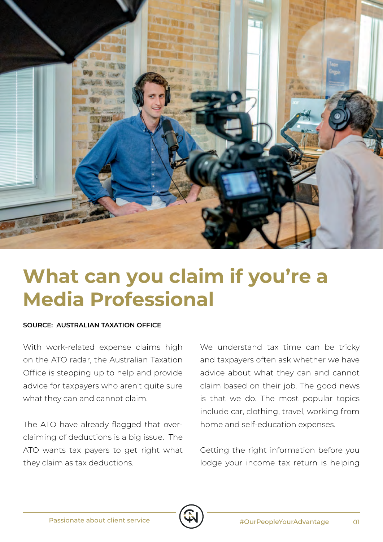

## **What can you claim if you're a Media Professional**

## **SOURCE: AUSTRALIAN TAXATION OFFICE**

With work-related expense claims high on the ATO radar, the Australian Taxation Office is stepping up to help and provide advice for taxpayers who aren't quite sure what they can and cannot claim.

The ATO have already flagged that overclaiming of deductions is a big issue. The ATO wants tax payers to get right what they claim as tax deductions.

We understand tax time can be tricky and taxpayers often ask whether we have advice about what they can and cannot claim based on their job. The good news is that we do. The most popular topics include car, clothing, travel, working from home and self-education expenses.

Getting the right information before you lodge your income tax return is helping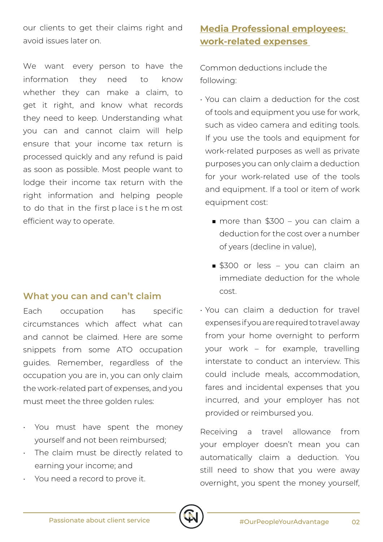our clients to get their claims right and avoid issues later on.

We want every person to have the information they need to know whether they can make a claim, to get it right, and know what records they need to keep. Understanding what you can and cannot claim will help ensure that your income tax return is processed quickly and any refund is paid as soon as possible. Most people want to lodge their income tax return with the right information and helping people to do that in the first p lace i s t he m ost efficient way to operate.

## **What you can and can't claim**

Each occupation has specific circumstances which affect what can and cannot be claimed. Here are some snippets from some ATO occupation guides. Remember, regardless of the occupation you are in, you can only claim the work-related part of expenses, and you must meet the three golden rules:

- You must have spent the money yourself and not been reimbursed;
- The claim must be directly related to earning your income; and
- You need a record to prove it.

## **Media Professional employees: work-related expenses**

Common deductions include the following:

- You can claim a deduction for the cost of tools and equipment you use for work, such as video camera and editing tools. If you use the tools and equipment for work-related purposes as well as private purposes you can only claim a deduction for your work-related use of the tools and equipment. If a tool or item of work equipment cost:
	- more than \$300 you can claim a deduction for the cost over a number of years (decline in value),
	- \$300 or less you can claim an immediate deduction for the whole cost.
- You can claim a deduction for travel expenses if you are required to travel away from your home overnight to perform your work – for example, travelling interstate to conduct an interview. This could include meals, accommodation, fares and incidental expenses that you incurred, and your employer has not provided or reimbursed you.

Receiving a travel allowance from your employer doesn't mean you can automatically claim a deduction. You still need to show that you were away overnight, you spent the money yourself,